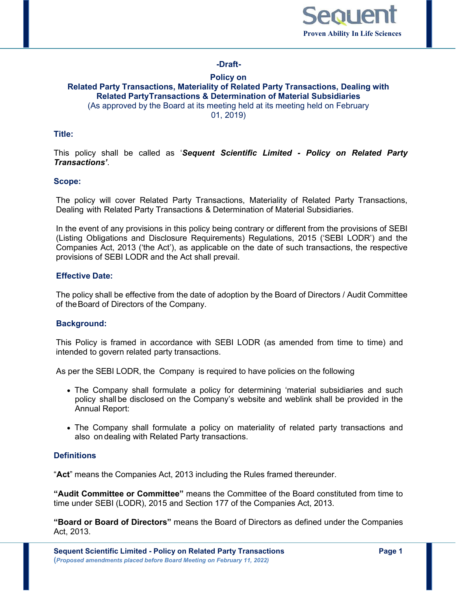

# **-Draft-**

### **Policy on Related Party Transactions, Materiality of Related Party Transactions, Dealing with Related PartyTransactions & Determination of Material Subsidiaries** (As approved by the Board at its meeting held at its meeting held on February 01, 2019)

### **Title:**

This policy shall be called as '*Sequent Scientific Limited - Policy on Related Party Transactions'*.

#### **Scope:**

The policy will cover Related Party Transactions, Materiality of Related Party Transactions, Dealing with Related Party Transactions & Determination of Material Subsidiaries.

In the event of any provisions in this policy being contrary or different from the provisions of SEBI (Listing Obligations and Disclosure Requirements) Regulations, 2015 ('SEBI LODR') and the Companies Act, 2013 ('the Act'), as applicable on the date of such transactions, the respective provisions of SEBI LODR and the Act shall prevail.

## **Effective Date:**

The policy shall be effective from the date of adoption by the Board of Directors / Audit Committee of the Board of Directors of the Company.

#### **Background:**

This Policy is framed in accordance with SEBI LODR (as amended from time to time) and intended to govern related party transactions.

As per the SEBI LODR, the Company is required to have policies on the following

- The Company shall formulate a policy for determining 'material subsidiaries and such policy shall be disclosed on the Company's website and weblink shall be provided in the Annual Report:
- The Company shall formulate a policy on materiality of related party transactions and also on dealing with Related Party transactions.

### **Definitions**

"**Act**" means the Companies Act, 2013 including the Rules framed thereunder.

**"Audit Committee or Committee"** means the Committee of the Board constituted from time to time under SEBI (LODR), 2015 and Section 177 of the Companies Act, 2013.

**"Board or Board of Directors"** means the Board of Directors as defined under the Companies Act, 2013.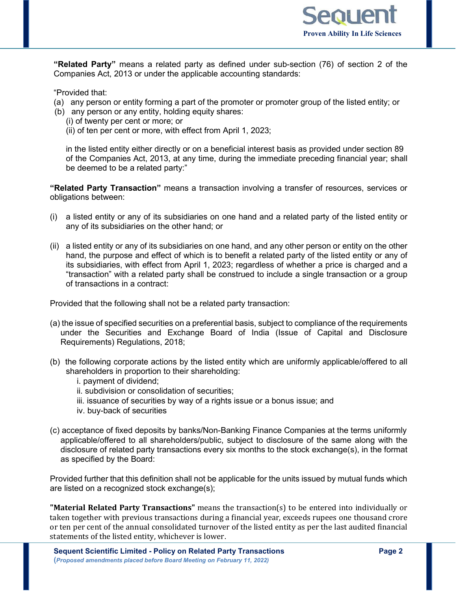

**"Related Party"** means a related party as defined under sub-section (76) of section 2 of the Companies Act, 2013 or under the applicable accounting standards:

"Provided that:

- (a) any person or entity forming a part of the promoter or promoter group of the listed entity; or
- (b) any person or any entity, holding equity shares:
	- (i) of twenty per cent or more; or
	- (ii) of ten per cent or more, with effect from April 1, 2023;

in the listed entity either directly or on a beneficial interest basis as provided under section 89 of the Companies Act, 2013, at any time, during the immediate preceding financial year; shall be deemed to be a related party:"

**"Related Party Transaction"** means a transaction involving a transfer of resources, services or obligations between:

- (i) a listed entity or any of its subsidiaries on one hand and a related party of the listed entity or any of its subsidiaries on the other hand; or
- (ii) a listed entity or any of its subsidiaries on one hand, and any other person or entity on the other hand, the purpose and effect of which is to benefit a related party of the listed entity or any of its subsidiaries, with effect from April 1, 2023; regardless of whether a price is charged and a "transaction" with a related party shall be construed to include a single transaction or a group of transactions in a contract:

Provided that the following shall not be a related party transaction:

- (a) the issue of specified securities on a preferential basis, subject to compliance of the requirements under the Securities and Exchange Board of India (Issue of Capital and Disclosure Requirements) Regulations, 2018;
- (b) the following corporate actions by the listed entity which are uniformly applicable/offered to all shareholders in proportion to their shareholding:
	- i. payment of dividend;
	- ii. subdivision or consolidation of securities;
	- iii. issuance of securities by way of a rights issue or a bonus issue; and
	- iv. buy-back of securities
- (c) acceptance of fixed deposits by banks/Non-Banking Finance Companies at the terms uniformly applicable/offered to all shareholders/public, subject to disclosure of the same along with the disclosure of related party transactions every six months to the stock exchange(s), in the format as specified by the Board:

Provided further that this definition shall not be applicable for the units issued by mutual funds which are listed on a recognized stock exchange(s);

**"Material Related Party Transactions"** means the transaction(s) to be entered into individually or taken together with previous transactions during a financial year, exceeds rupees one thousand crore or ten per cent of the annual consolidated turnover of the listed entity as per the last audited financial statements of the listed entity, whichever is lower.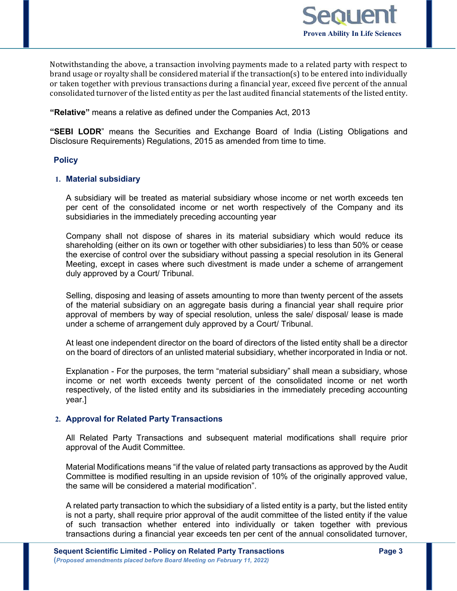

Notwithstanding the above, a transaction involving payments made to a related party with respect to brand usage or royalty shall be considered material if the transaction(s) to be entered into individually or taken together with previous transactions during a financial year, exceed five percent of the annual consolidated turnover of the listed entity as per the last audited financial statements of the listed entity.

**"Relative"** means a relative as defined under the Companies Act, 2013

**"SEBI LODR**" means the Securities and Exchange Board of India (Listing Obligations and Disclosure Requirements) Regulations, 2015 as amended from time to time.

### **Policy**

#### **1. Material subsidiary**

A subsidiary will be treated as material subsidiary whose income or net worth exceeds ten per cent of the consolidated income or net worth respectively of the Company and its subsidiaries in the immediately preceding accounting year

Company shall not dispose of shares in its material subsidiary which would reduce its shareholding (either on its own or together with other subsidiaries) to less than 50% or cease the exercise of control over the subsidiary without passing a special resolution in its General Meeting, except in cases where such divestment is made under a scheme of arrangement duly approved by a Court/ Tribunal.

Selling, disposing and leasing of assets amounting to more than twenty percent of the assets of the material subsidiary on an aggregate basis during a financial year shall require prior approval of members by way of special resolution, unless the sale/ disposal/ lease is made under a scheme of arrangement duly approved by a Court/ Tribunal.

At least one independent director on the board of directors of the listed entity shall be a director on the board of directors of an unlisted material subsidiary, whether incorporated in India or not.

Explanation - For the purposes, the term "material subsidiary" shall mean a subsidiary, whose income or net worth exceeds twenty percent of the consolidated income or net worth respectively, of the listed entity and its subsidiaries in the immediately preceding accounting year.]

### **2. Approval for Related Party Transactions**

All Related Party Transactions and subsequent material modifications shall require prior approval of the Audit Committee.

Material Modifications means "if the value of related party transactions as approved by the Audit Committee is modified resulting in an upside revision of 10% of the originally approved value, the same will be considered a material modification".

A related party transaction to which the subsidiary of a listed entity is a party, but the listed entity is not a party, shall require prior approval of the audit committee of the listed entity if the value of such transaction whether entered into individually or taken together with previous transactions during a financial year exceeds ten per cent of the annual consolidated turnover,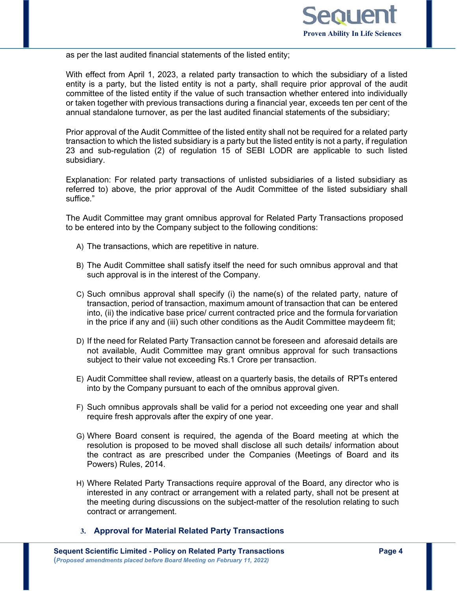

as per the last audited financial statements of the listed entity;

With effect from April 1, 2023, a related party transaction to which the subsidiary of a listed entity is a party, but the listed entity is not a party, shall require prior approval of the audit committee of the listed entity if the value of such transaction whether entered into individually or taken together with previous transactions during a financial year, exceeds ten per cent of the annual standalone turnover, as per the last audited financial statements of the subsidiary;

Prior approval of the Audit Committee of the listed entity shall not be required for a related party transaction to which the listed subsidiary is a party but the listed entity is not a party, if regulation 23 and sub-regulation (2) of regulation 15 of SEBI LODR are applicable to such listed subsidiary.

Explanation: For related party transactions of unlisted subsidiaries of a listed subsidiary as referred to) above, the prior approval of the Audit Committee of the listed subsidiary shall suffice."

The Audit Committee may grant omnibus approval for Related Party Transactions proposed to be entered into by the Company subject to the following conditions:

- A) The transactions, which are repetitive in nature.
- B) The Audit Committee shall satisfy itself the need for such omnibus approval and that such approval is in the interest of the Company.
- C) Such omnibus approval shall specify (i) the name(s) of the related party, nature of transaction, period of transaction, maximum amount of transaction that can be entered into, (ii) the indicative base price/ current contracted price and the formula for variation in the price if any and (iii) such other conditions as the Audit Committee maydeem fit;
- D) If the need for Related Party Transaction cannot be foreseen and aforesaid details are not available, Audit Committee may grant omnibus approval for such transactions subject to their value not exceeding Rs.1 Crore per transaction.
- E) Audit Committee shall review, atleast on a quarterly basis, the details of RPTs entered into by the Company pursuant to each of the omnibus approval given.
- F) Such omnibus approvals shall be valid for a period not exceeding one year and shall require fresh approvals after the expiry of one year.
- G) Where Board consent is required, the agenda of the Board meeting at which the resolution is proposed to be moved shall disclose all such details/ information about the contract as are prescribed under the Companies (Meetings of Board and its Powers) Rules, 2014.
- H) Where Related Party Transactions require approval of the Board, any director who is interested in any contract or arrangement with a related party, shall not be present at the meeting during discussions on the subject-matter of the resolution relating to such contract or arrangement.
- **3. Approval for Material Related Party Transactions**